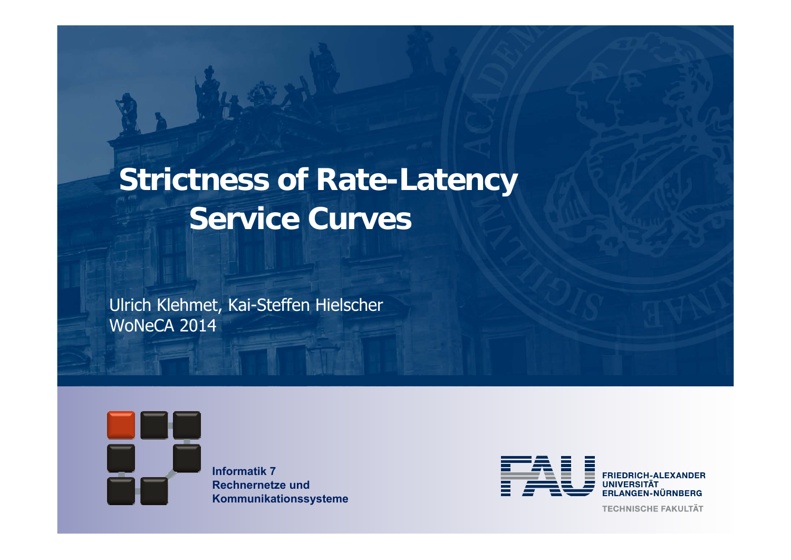# **Strictness of Rate-Latency Service Curves**

Ulrich Klehmet, Kai-Steffen Hielscher WoNeCA 2014



**Informatik 7Rechnernetze und Kommunikationssysteme**



**TECHNISCHE FAKULTÄT**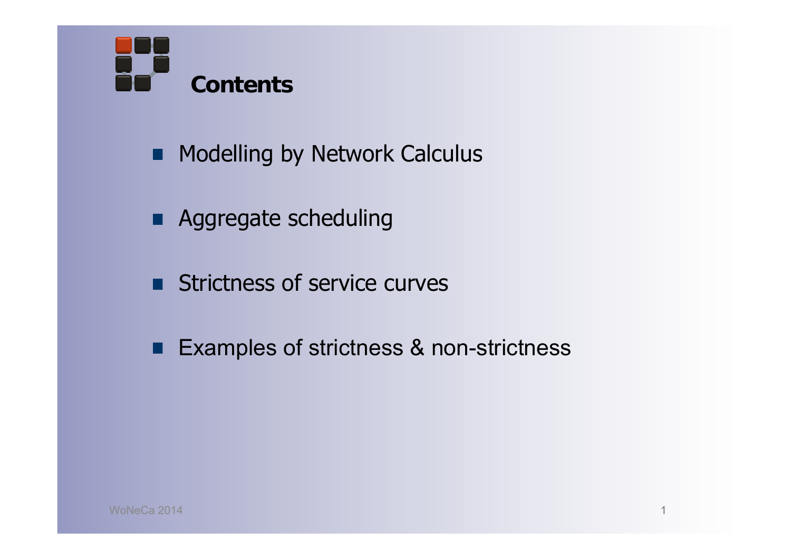

- **Modelling by Network Calculus**
- **Aggregate scheduling**
- **Strictness of service curves**
- Examples of strictness & non-strictness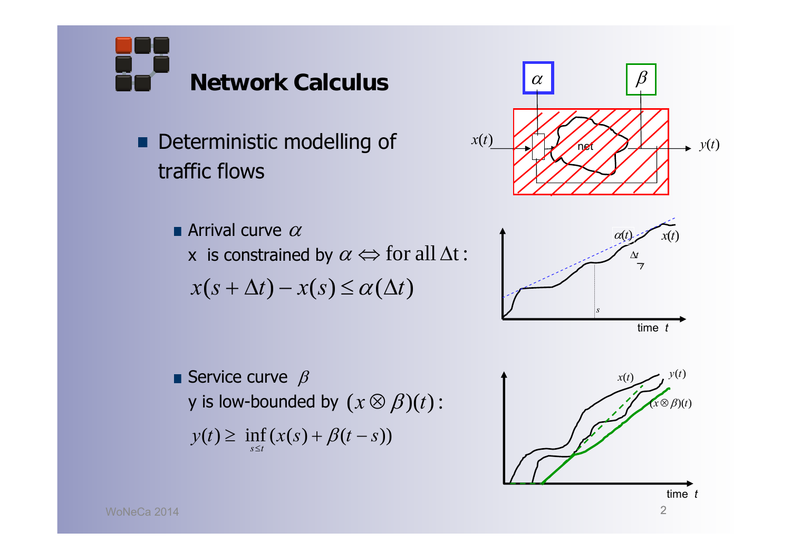**Network Calculus**

Deterministic modelling of П traffic flows

Arrival curve  $\alpha$ 

**x** is constrained by  $\alpha \Leftrightarrow$  for all  $\Delta t$  :

 $x(s + \Delta t) - x(s) \leq \alpha(\Delta t)$ 

Service curve  $\beta$ **y** is low-bounded by  $(x \otimes \beta)(t)$  :  $y(t) \ge \inf_{s \le t} (x(s) + \beta(t - s))$  $\geq \inf(x(s) + \beta(t$  $\inf_{s} (x(s) + \beta)$ 

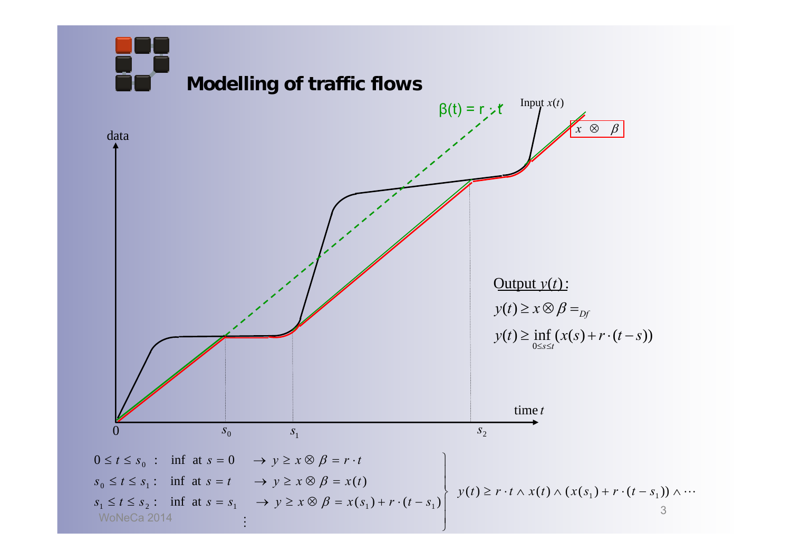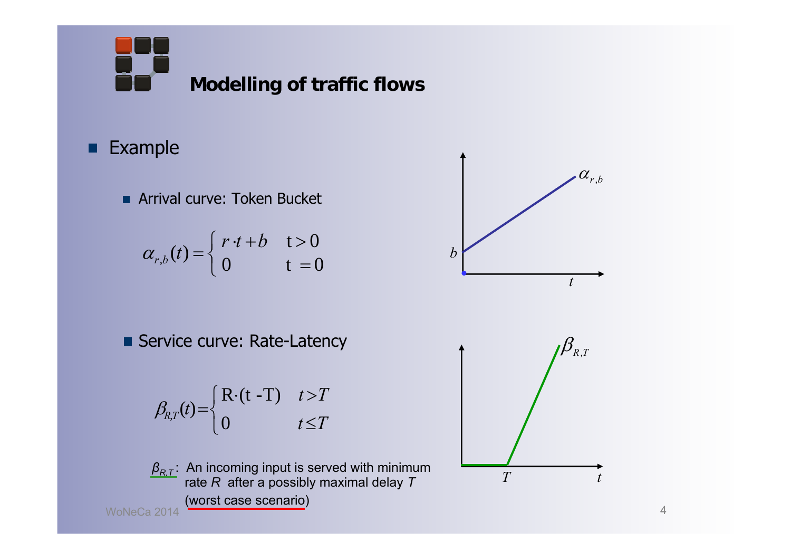**Modelling of traffic flows**

## **Example**

**Arrival curve: Token Bucket** 

$$
\alpha_{r,b}(t) = \begin{cases} r \cdot t + b & \text{if } t > 0 \\ 0 & \text{if } t = 0 \end{cases}
$$

Service curve: Rate-Latency



*T*

 $\overline{\mathcal{L}}$  $\bigg\{$  $\sqrt{\frac{1}{2}}$  $\leq$  $=\begin{cases} R \cdot (t - T) & t > T \\ 0 & t \leq T \end{cases}$  $B_{RT}(t) = \begin{cases} R \cdot (t - T) & t > T \\ 0 & t \le T \end{cases}$  $R(t - T)$  $\beta_{\!R,T}(t)$ 



*βR,T* : An incoming input is served with minimum rate *R* after a possibly maximal delay *T* (worst case scenario)

WoNeCa 2014

*t*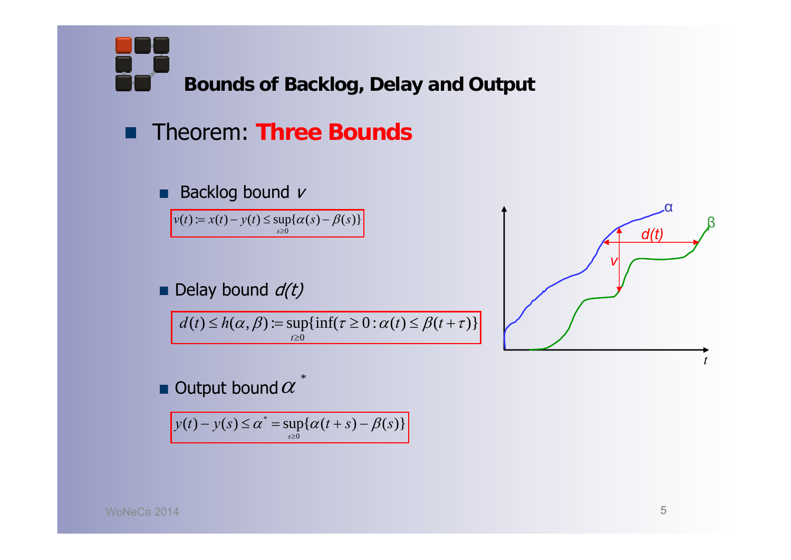**Bounds of Backlog, Delay and Output**

#### Theorem: **Three Bounds** ■

#### Backlog bound ν п

 $v(t) := x(t) - y(t) \le \sup\{\alpha(s) - \beta(s)\}$ 0*s*

Delay bound  $d(t)$ 

 $d(t) \leq h(\alpha, \beta) := \sup\{\inf(\tau \geq 0 : \alpha(t) \leq \beta(t + \tau)\}\$  $t \geq 0$ 

*td(t) v*αβ

Output bound  $\alpha$ 

 $y(t) - y(s) \le \alpha^* = \sup{\{\alpha(t + s) - \beta(s)\}}$  $\overline{0}$ *s* $\mathbf{I}$ 

\*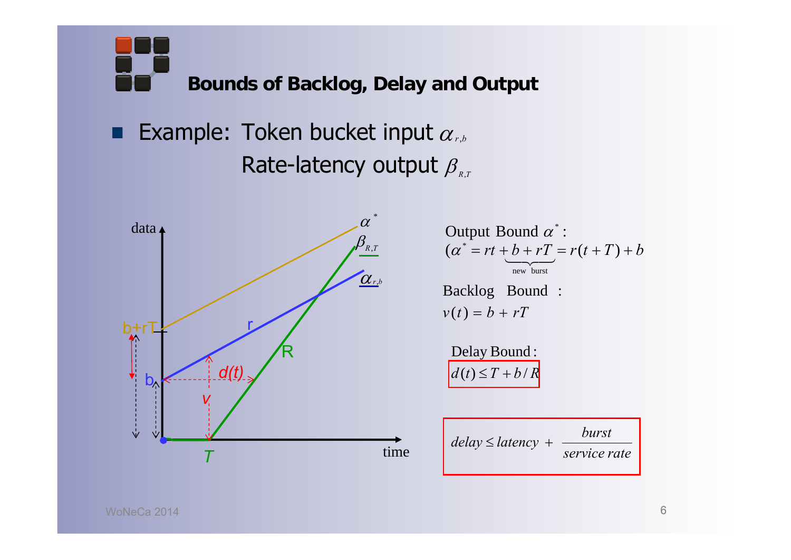**Bounds of Backlog, Delay and Output**

Example: Token bucket input  $\alpha_{\scriptscriptstyle r,b}$ ■ Rate-latency output  $\beta_{_{R,T}}$ 



 $(\alpha^* = rt + b + rT) = r(t + T) + b$ Output Bound  $\alpha^*$  : Backlo g Boun d :  $\widetilde{\phantom{m}}$  $\overline{\phantom{0}}$ new burst

$$
v(t) = b + rT
$$

 $d(t) \leq T + b/R$ Delay Bound :

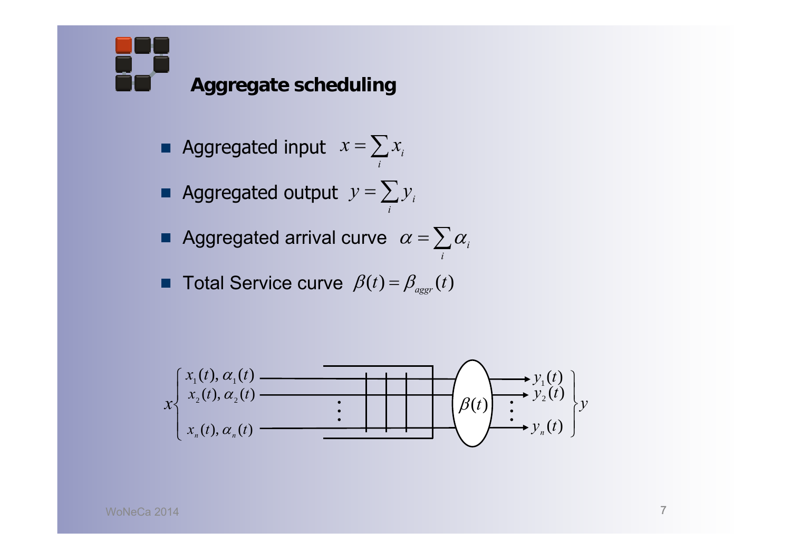**Aggregate scheduling**

- Aggregated input  $x=$  $= \sum$ *i* $x = \sum x_i$
- Aggregated output  $y=$  $= \sum$ *i* $y = \sum y_i$
- Aggregated arrival curve  $\;\alpha=$  $\alpha = \sum \alpha_i$ *i*
- Total Service curve  $\beta(t) = \beta_{\textit{aggr}}(t)$

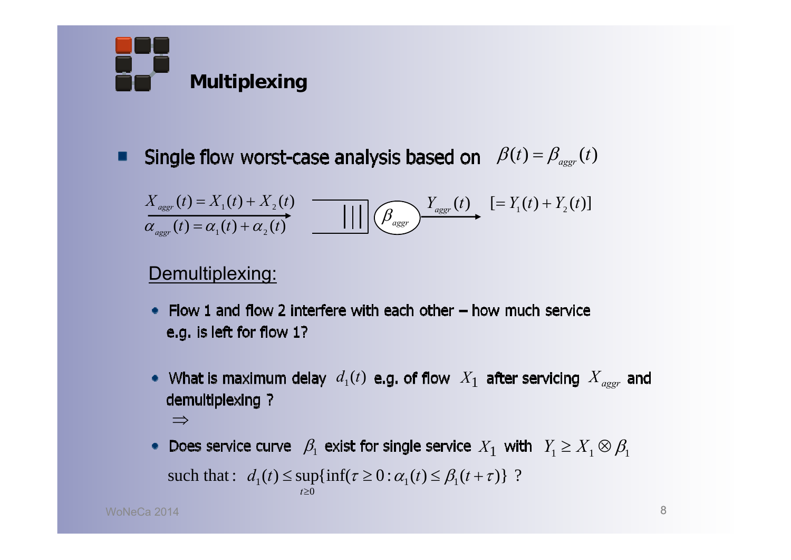

Single flow worst-case analysis based on  $\beta(t) = \beta_{\text{ager}}(t)$ п

$$
X_{aggr}(t) = X_1(t) + X_2(t)
$$
  
\n
$$
\overbrace{\alpha_{aggr}(t) = \alpha_1(t) + \alpha_2(t)}^{X_{aggr}(t) - X_1(t) + X_2(t)}
$$
 
$$
= \prod_{\text{aggr}(t) - X_1(t) + X_2(t)}
$$
 
$$
= Y_1(t) + Y_2(t)
$$

### Demultiplexing:

- Flow 1 and flow 2 interfere with each other  $-$  how much service e.g. is left for flow 1?
- $d_1(t)$  e.g. of flow  $\ X_1$  after servicing  $X_{aggr}$ demultiplexing ?  $\Rightarrow$
- $\beta_1$  exist for single service  $X_1$  with  $\ Y_1 \geq X_1 \otimes \beta_1$ such that:  $d_1(t) \leq \sup\{\inf(\tau \geq 0 : \alpha_1(t) \leq \beta_1(t + \tau)\}\$ ?  $t \geq 0$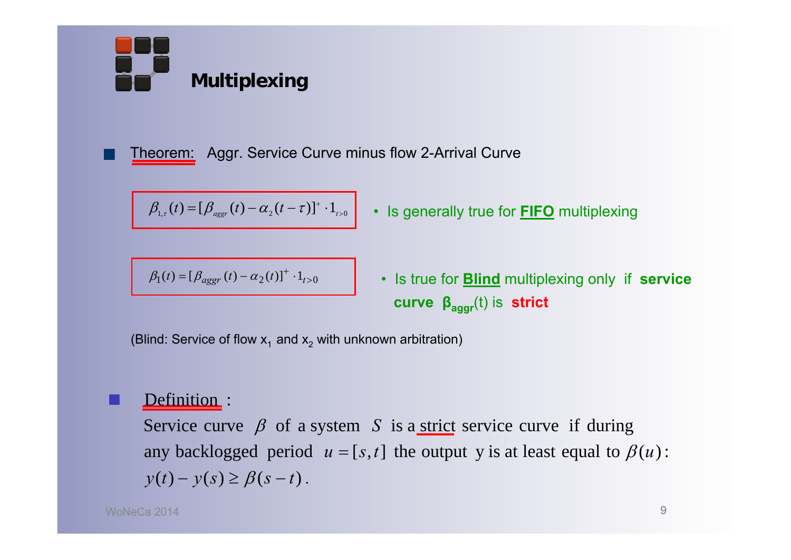

Theorem: Aggr. Service Curve minus flow 2-Arrival Curve

$$
\beta_{1,\tau}(t) = [\beta_{aggr}(t) - \alpha_2(t-\tau)]^* \cdot 1_{t>0}
$$

 $B_1(t) = [\beta_{a \text{g} \text{g} \text{r}}(t) - \alpha_2(t)]^{\text{T}} \cdot 1_{t>0}$ 

*aggr <sup>t</sup> <sup>t</sup> <sup>t</sup> <sup>t</sup>* • Is true for **Blind** multiplexing only if **service**

1, <sup>2</sup> <sup>1</sup> <sup>0</sup> ( ) [ ( ) ( )] *aggr <sup>t</sup> <sup>t</sup> <sup>t</sup> <sup>t</sup>* • Is generally true for **FIFO** multiplexing

**curve** 
$$
\beta_{aggr}(t)
$$
 is **strict**

(Blind: Service of flow  $\mathsf{x}_1$  and  $\mathsf{x}_2$  with unknown arbitration)

### Definition :

 $y(t) - y(s) \geq \beta(s-t)$ . any backlogged period  $u = [s, t]$  the output y is at least equal to  $\beta(u)$ : Service curve  $\beta$  of a system S is a strict service curve if during

■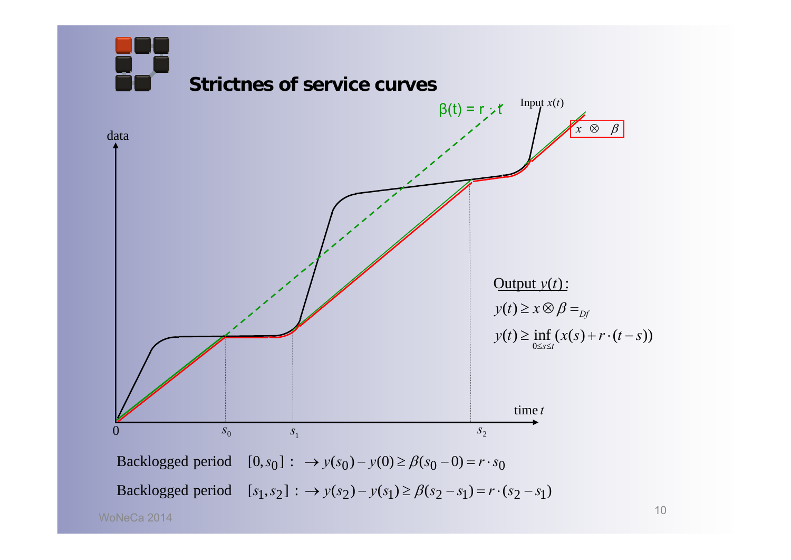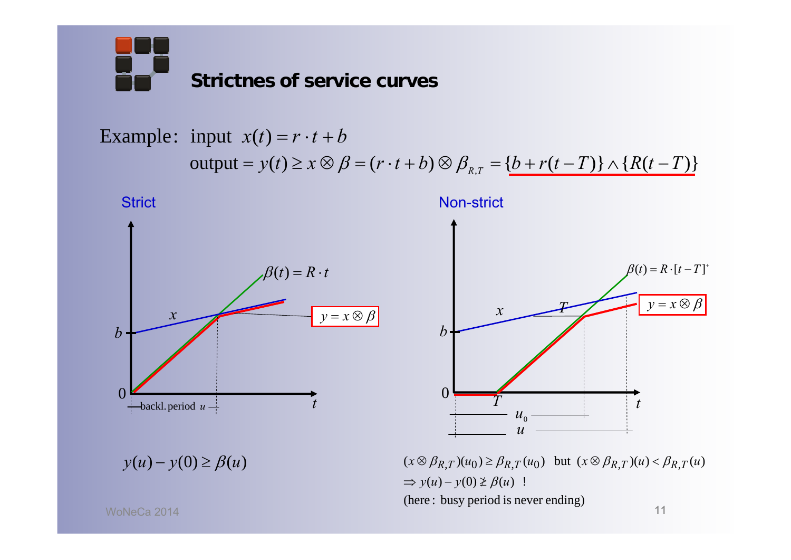Example: input  $x(t) = r \cdot t + b$  $\rho$   $\text{output} = y(t) \geq x \otimes \beta = (r \cdot t + b) \otimes \beta_{_{R,T}} = \{b + r(t - T)\} \wedge \{R(t - T)\}$ 



(here : busy period is never ending)

WoNeCa 2014

11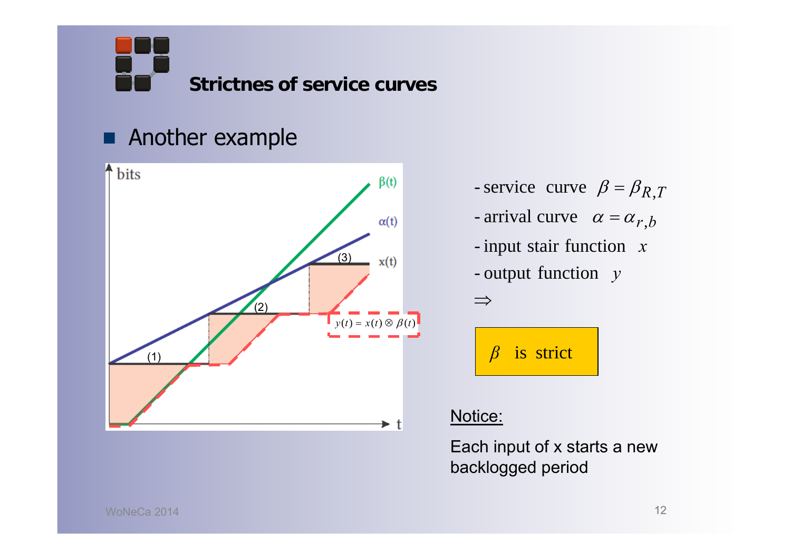## **Another example**



- service curve  $\beta = \beta_{R,T}$  $\beta = \beta$ 

- arrival curve  $\alpha = \alpha_{r,b}$  $\alpha = \alpha$
- -- input stair function x
- output function y

is strict *β*

### Notice:

 $\Rightarrow$ 

Each input of x starts a new backlogged period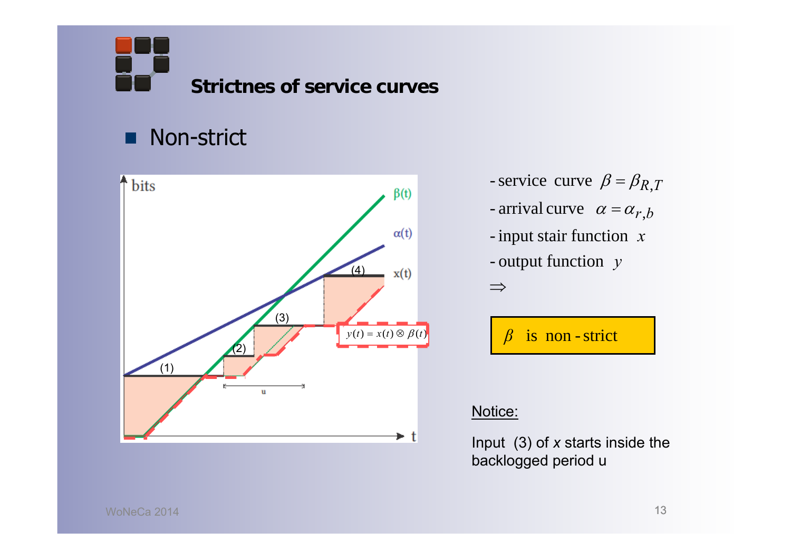#### Non-strict .



- service curve  $\beta = \beta_{R,T}$  $\beta = \beta$
- arrival curve  $\alpha = \alpha_{r,b}$  $\alpha = \alpha$
- -input stair function *x*
- output function *y*

 $\Rightarrow$ 

is non -strict *β*

#### Notice:

Input (3) of *x* starts inside the backlogged period u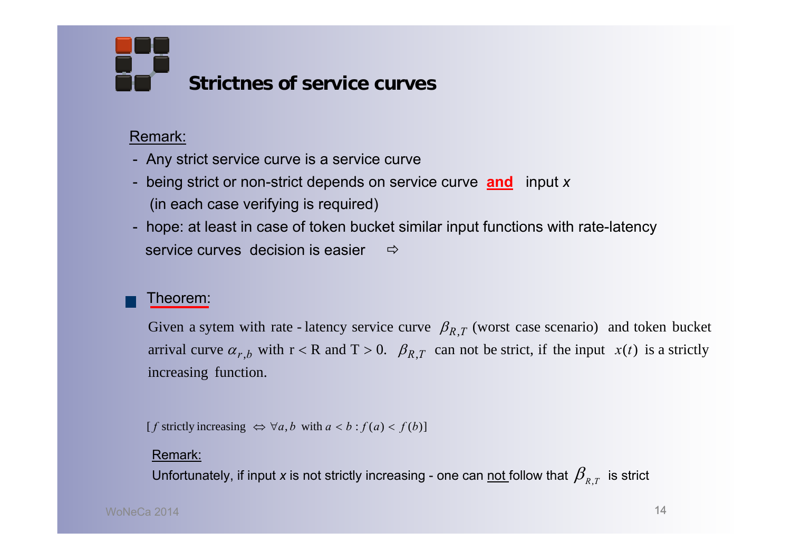#### Remark:

- Any strict service curve is a service curve
- being strict or non-strict depends on service curve **and** input *x* (in each case verifying is required)
- hope: at least in case of token bucket similar input functions with rate-latency service curves decision is easier  $\Rightarrow$

#### Theorem:

arrival curve  $\alpha_{r,b}$  with  $r < R$  and  $T > 0$ .  $\beta_{R,T}$  can not be strict, if the input  $x(t)$  is a strictly Given a sytem with rate - latency service curve  $\beta_{R,T}$  (worst case scenario) and token bucket

 $[f$  strictly increasing  $\Leftrightarrow \forall a, b$  with  $a < b : f(a) < f(b)$ ]

#### Remark:

increasing function.<br>
[*f* strictly increasing  $\Leftrightarrow$ <br>
<u>Remark:</u><br>
Unfortunately, if inpo Unfortunately, if input *x* is not strictly increasing - one can <u>not </u>follow that  $\pmb{\beta}_{\rm\scriptscriptstyle R,T}^{}$  is strict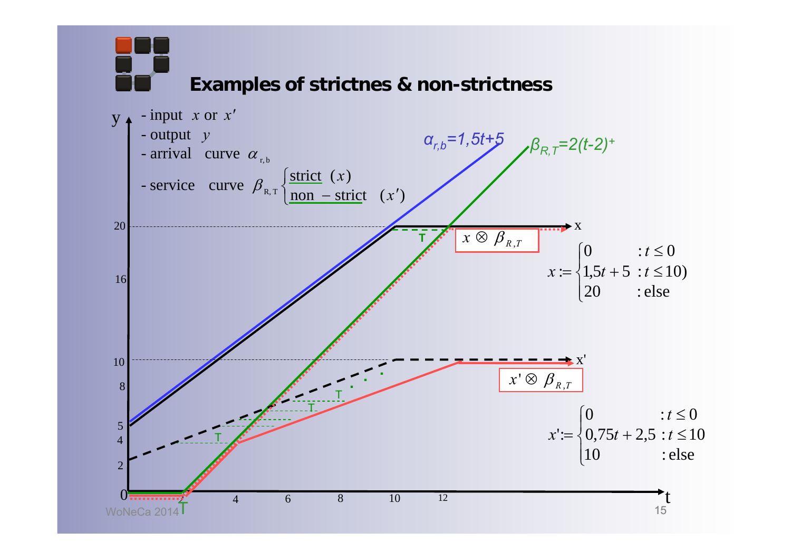15 **Examples of strictnes & non-strictness** WoNeCa 2014 $\mathsf T$ t $V_{\parallel}$  $\overline{2}$ 4 $\bm{0}$ 246 5 10 x 10 20**T**x' $\overline{\mathcal{L}}$  $\left\{ \right\}$  $\int$  $non-strict(x')$ - service curve  $\beta_{R,T}$   $\begin{cases} \frac{\text{strict}}{\text{non}}(x) \\ \text{non} - \text{strict} \end{cases}$ - arrival curve  $\alpha_{r,b}$ - output *y*  $-$  input  $x$  or  $x'$  $\beta_{\text{RT}}$  $\frac{\text{strict}}{\text{max}}$  (x) 8168  $x \lq \otimes \ \beta_{_{R,T}}$ T12 TT. $\mathcal{L}$  . . .  $x \otimes \overline{\beta}_{R,T}$  $\overline{\mathcal{L}}$  $\overline{\phantom{a}}$  $=\{1,5t+5 : t \leq$  $\left\lceil 0 \right\rceil$ 0  $:t \leq 0$ 20 : else  $x := \{1, 5t + 5 : t \le 10\}$  $\overline{\mathcal{L}}$   $\left\{ \right.$  $\sqrt{ }$  $+2.5 : t \leq$  $\leq$  $=$ 10 : else  $0,75t+2,5 : t \leq 10$ 0 :  $t \leq 0$  $t := \{0.75t + 2.5 : t$ *t x*  $\alpha_{r,b} = 1,5t+5$   $\beta_{R,T} = 2(t-2)^{+}$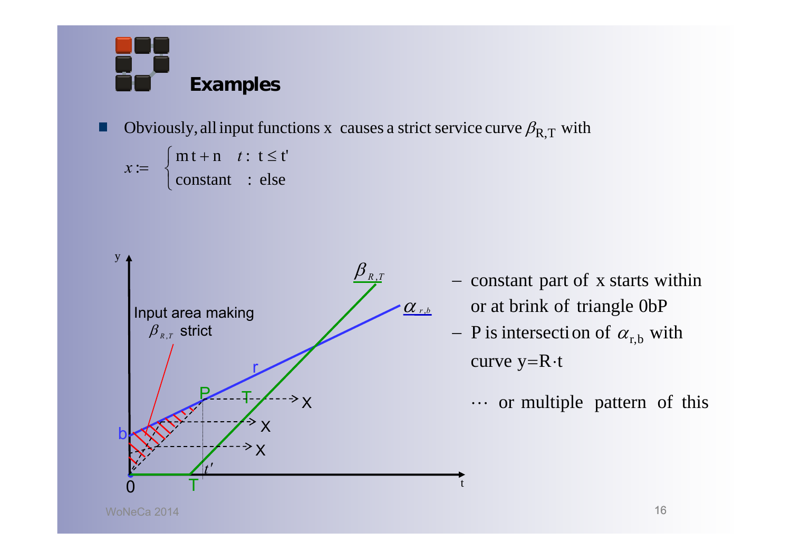

Obviously, all input functions x causes a strict service curve  $\beta_{\rm R,T}$  with

$$
x := \begin{cases} mt + n & t : t \leq t' \\ constant & : else \end{cases}
$$



- or at brink of triangle 0bP - constant part of x starts within
- curve y= $R \cdot t$  $-$  P is intersection of  $\alpha_{\rm r,b}$  with

t

 $\cdots$  or multiple pattern of this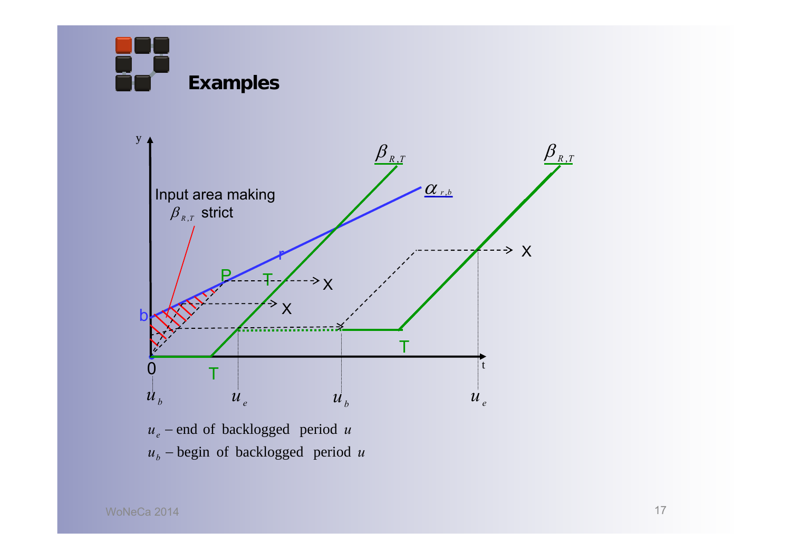**Examples**



 $u_b$  – begin of backlogged period  $u$ *u*<sub>e</sub> – end of backlogged period *u*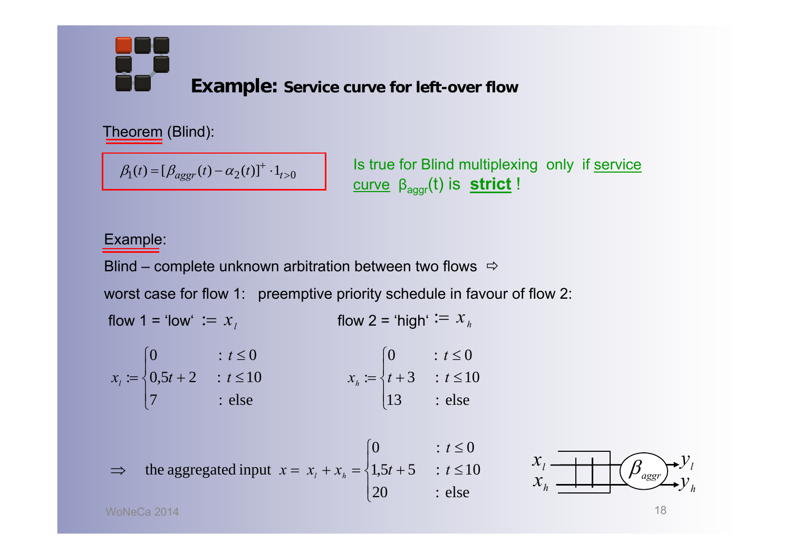**Example: Service curve for left-over flow**

Theorem (Blind):

 $\beta_1(t) = [\beta_{a \text{g} \text{g} \text{g} \text{f} \text{f}}(t) - \alpha_2(t)]^{\text{T}} \cdot 1_{t>0}$ 

**ls true for Blind multiplexing only if service** curve βaggr(t) is **strict** !

#### Example:

Blind – complete unknown arbitration between two flows  $\Rightarrow$ 

worst case for flow 1: preemptive priority schedule in favour of flow 2:

flow 1 = 'low'  $:= x_{\scriptscriptstyle\perp}$  flow 2 = 'high'  $:= x_{\scriptscriptstyle\emph{h}}$ flow  $1 = 'low' := x_i$ 

$$
x_{t} := \begin{cases} 0 & \text{if } t \leq 0 \\ 0.5t + 2 & \text{if } t \leq 10 \\ 7 & \text{if } t \leq 10 \end{cases} \qquad x_{h} := \begin{cases} 0 & \text{if } t \leq 0 \\ t + 3 & \text{if } t \leq 10 \\ 13 & \text{if } t \leq 10 \end{cases}
$$

$$
\Rightarrow \text{ the aggregated input } x = x_t + x_h = \begin{cases} 0 & \text{if } t \le 0 \\ 1.5t + 5 & \text{if } t \le 10 \\ 20 & \text{else} \end{cases}
$$

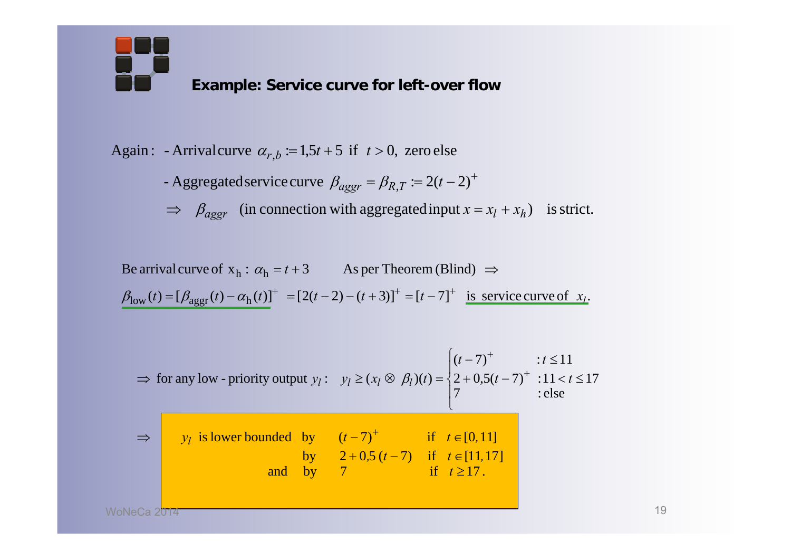

Again: - Arrivalcurve  $\alpha_{r,b} := 1.5t + 5$  if  $t > 0$ , zero else

- Aggregated service curve  $\beta_{aggr} = \beta_{R,T} := 2(t-2)^+$ 

 $\Rightarrow$   $\beta_{aggr}$  (in connection with aggregated input  $x = x_l + x_h$ ) is strict.

 $\beta_{\text{low}}(t) = [\beta_{\text{aggr}}(t) - \alpha_{\text{h}}(t)]^+ = [2(t-2) - (t+3)]^+ = [t-7]^+$  is service curve of  $x_t$ . Be arrival curve of  $x_h : \alpha_h = t + 3$  As per Theorem (Blind)  $\Rightarrow$ 

$$
\Rightarrow \text{ for any low- priority output } y_l: \quad y_l \ge (x_l \otimes \beta_l)(t) = \begin{cases} (t-7)^+ & : t \le 11 \\ 2 + 0.5(t-7)^+ & : 11 < t \le 17 \\ 7 & : \text{else} \end{cases}
$$

| $\Rightarrow$ $y_l$ is lower bounded by $(t-7)^+$ |                                    | if $t \in [0,11]$ |
|---------------------------------------------------|------------------------------------|-------------------|
|                                                   | by $2+0.5(t-7)$ if $t \in [11,17]$ |                   |
|                                                   | and by 7 if $t \ge 17$ .           |                   |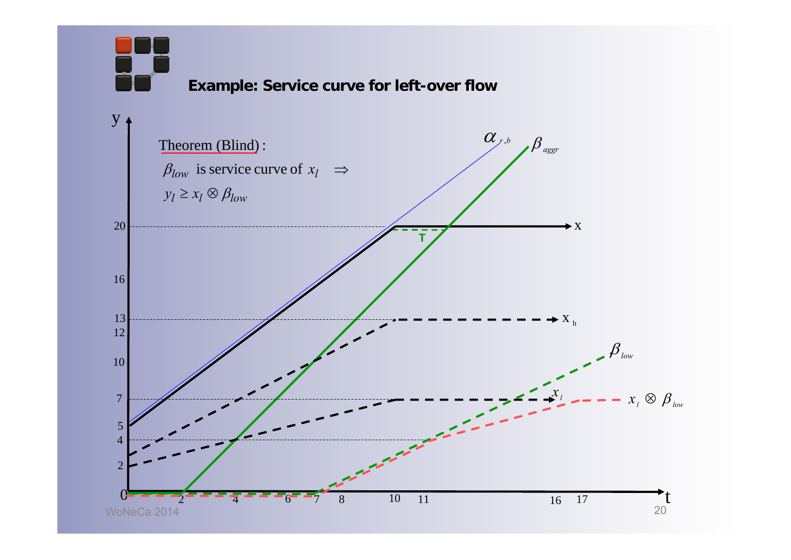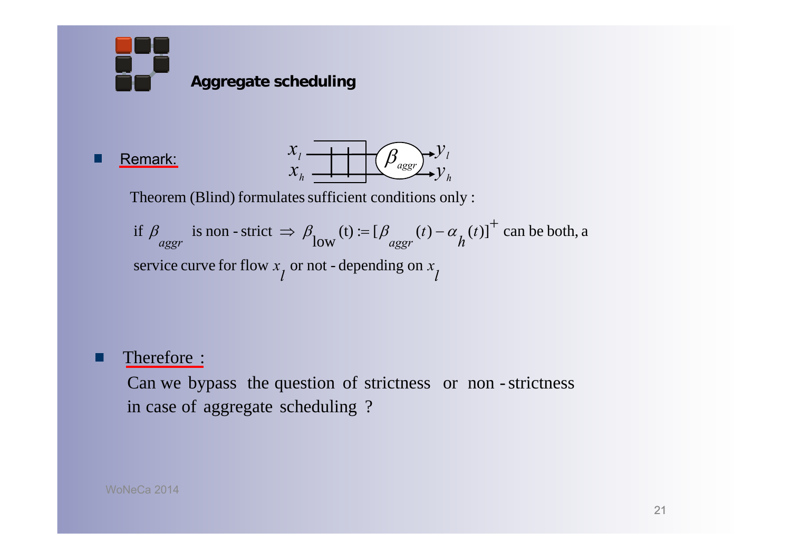

#### Remark:



Theorem (Blind) formulates sufficient conditions only :

service curve for flow  $x_{\hat{l}}$  or not - depending on  $x_{\hat{l}}$ *t*if  $\beta_{aggr}$  is non - strict  $\Rightarrow \beta_{low}(t) := [\beta_{aggr}(t) - \alpha_{h}(t)]^+$  can be both, a

#### Therefore :

in case of aggregate scheduling ? Can we bypass the question of strictness or non -strictness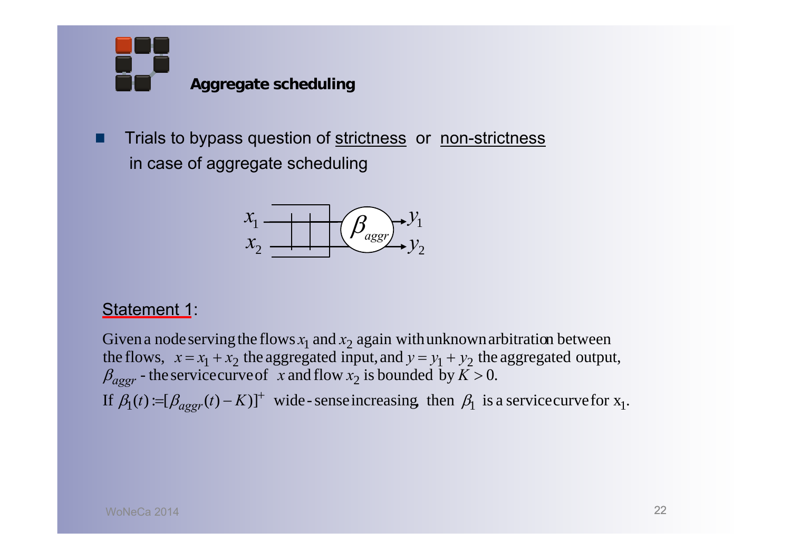**Aggregate scheduling**

Trials to bypass question of strictness or non-strictness П in case of aggregate scheduling



### Statement 1:

If  $\beta_1(t) := [\beta_{aggr}(t) - K]^+$  wide-senseincreasing, then  $\beta_1$  is a service curve for  $x_1$ .  $\beta_{aggr}$  - the service curve of x and flow  $x_2$  is bounded by  $K > 0$ . the flows,  $x = x_1 + x_2$  the aggregated input, and  $y = y_1 + y_2$  the aggregated output, Given a node serving the flows  $x_1$  and  $x_2$  again with unknown arbitration between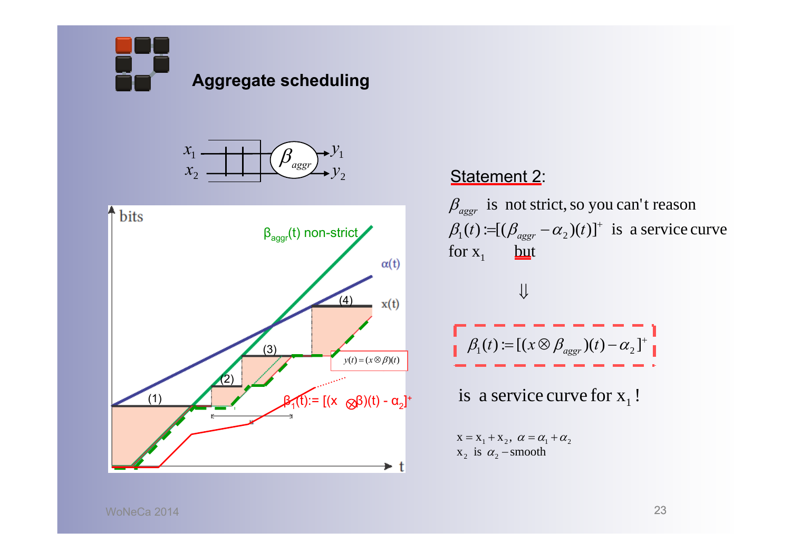**Aggregate scheduling**





#### Statement 2:

 $=$   $\left( D$   $\right)$   $\beta_1(t) := [(\beta_{aggr} - \alpha_2)(t)]^{\dagger}$  is a service curve for  $x_1$  but  $\beta_{\rm aggr}$  is not strict, so you can't reason



 $x_2$  is  $\alpha_2$  – smooth  $X = X_1 + X_2, \ \alpha = \alpha_1 + \alpha_2$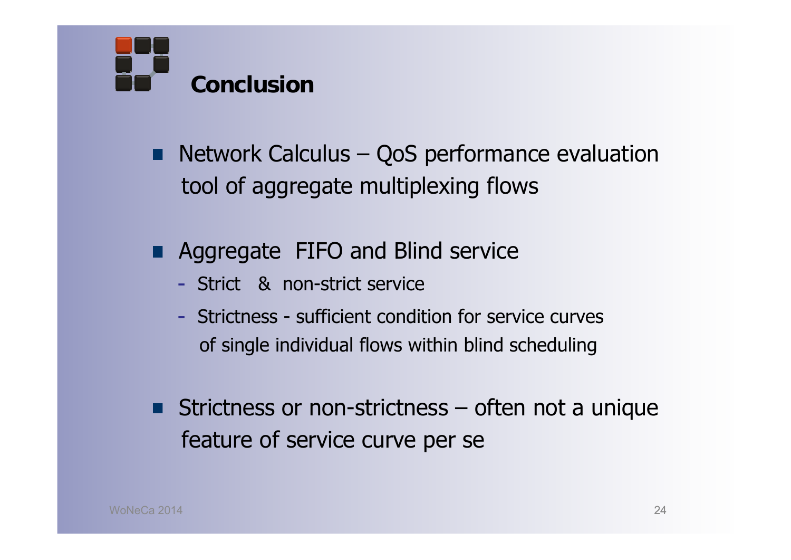

- Network Calculus QoS performance evaluation tool of aggregate multiplexing flows
- **Aggregate FIFO and Blind service** 
	- Strict & non-strict service
	- Strictness sufficient condition for service curvesof single individual flows within blind scheduling
- Strictness or non-strictness often not a unique feature of service curve per se